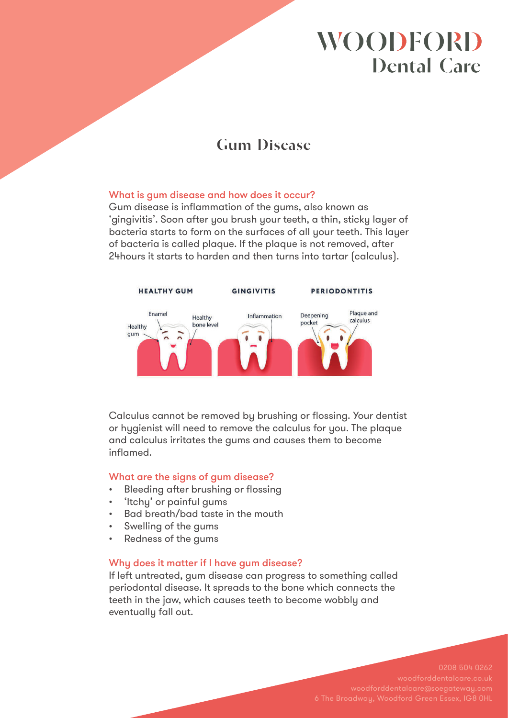# **WOODFORD Dental Care**

# **Gum Disease**

### What is gum disease and how does it occur?

Gum disease is inflammation of the gums, also known as 'gingivitis'. Soon after you brush your teeth, a thin, sticky layer of bacteria starts to form on the surfaces of all your teeth. This layer of bacteria is called plaque. If the plaque is not removed, after 24hours it starts to harden and then turns into tartar (calculus).



Calculus cannot be removed by brushing or flossing. Your dentist or hygienist will need to remove the calculus for you. The plaque and calculus irritates the gums and causes them to become inflamed.

### What are the signs of gum disease?

- Bleeding after brushing or flossing
- 'Itchy' or painful gums
- Bad breath/bad taste in the mouth
- Swelling of the gums
- Redness of the gums

### Why does it matter if I have gum disease?

If left untreated, gum disease can progress to something called periodontal disease. It spreads to the bone which connects the teeth in the jaw, which causes teeth to become wobbly and eventually fall out.